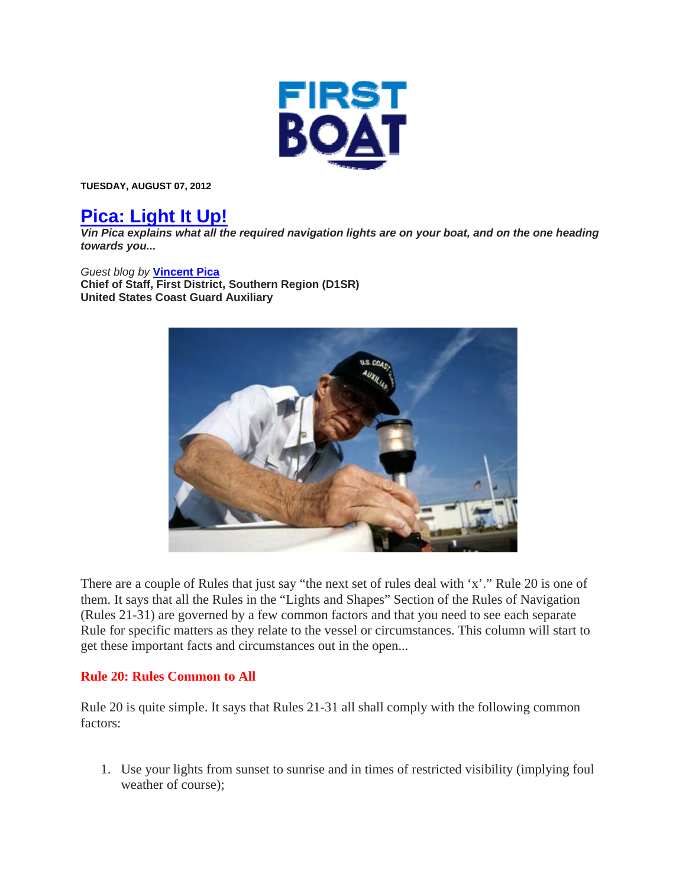

**TUESDAY, AUGUST 07, 2012** 

## **Pica: Light It Up!**

*Vin Pica explains what all the required navigation lights are on your boat, and on the one heading towards you...* 

*Guest blog by* **Vincent Pica**

**Chief of Staff, First District, Southern Region (D1SR) United States Coast Guard Auxiliary**



There are a couple of Rules that just say "the next set of rules deal with 'x'." Rule 20 is one of them. It says that all the Rules in the "Lights and Shapes" Section of the Rules of Navigation (Rules 21-31) are governed by a few common factors and that you need to see each separate Rule for specific matters as they relate to the vessel or circumstances. This column will start to get these important facts and circumstances out in the open...

## **Rule 20: Rules Common to All**

Rule 20 is quite simple. It says that Rules 21-31 all shall comply with the following common factors:

1. Use your lights from sunset to sunrise and in times of restricted visibility (implying foul weather of course);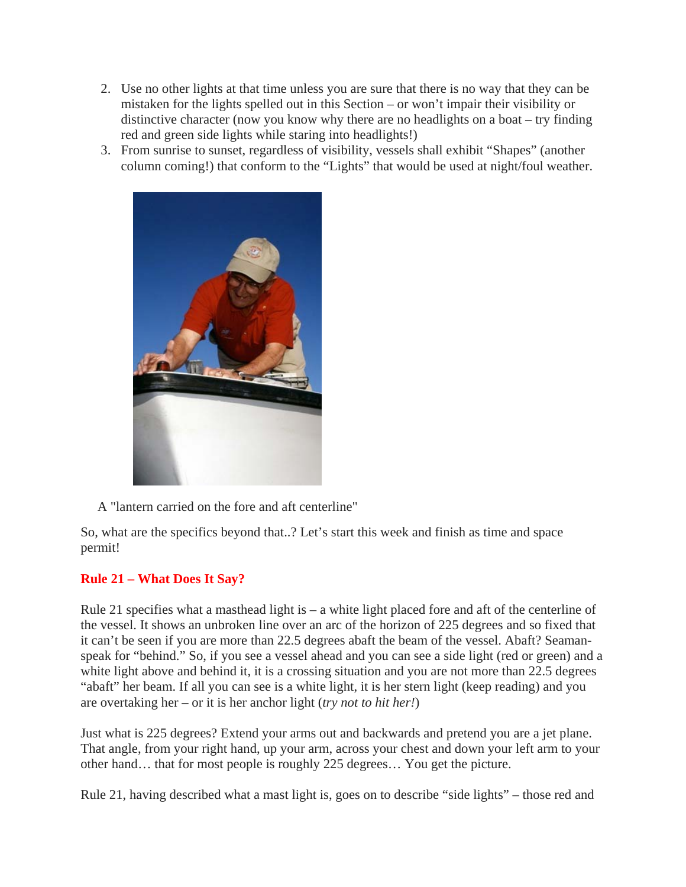- 2. Use no other lights at that time unless you are sure that there is no way that they can be mistaken for the lights spelled out in this Section – or won't impair their visibility or distinctive character (now you know why there are no headlights on a boat – try finding red and green side lights while staring into headlights!)
- 3. From sunrise to sunset, regardless of visibility, vessels shall exhibit "Shapes" (another column coming!) that conform to the "Lights" that would be used at night/foul weather.



A "lantern carried on the fore and aft centerline"

So, what are the specifics beyond that..? Let's start this week and finish as time and space permit!

## **Rule 21 – What Does It Say?**

Rule 21 specifies what a masthead light is – a white light placed fore and aft of the centerline of the vessel. It shows an unbroken line over an arc of the horizon of 225 degrees and so fixed that it can't be seen if you are more than 22.5 degrees abaft the beam of the vessel. Abaft? Seamanspeak for "behind." So, if you see a vessel ahead and you can see a side light (red or green) and a white light above and behind it, it is a crossing situation and you are not more than 22.5 degrees "abaft" her beam. If all you can see is a white light, it is her stern light (keep reading) and you are overtaking her – or it is her anchor light (*try not to hit her!*)

Just what is 225 degrees? Extend your arms out and backwards and pretend you are a jet plane. That angle, from your right hand, up your arm, across your chest and down your left arm to your other hand… that for most people is roughly 225 degrees… You get the picture.

Rule 21, having described what a mast light is, goes on to describe "side lights" – those red and